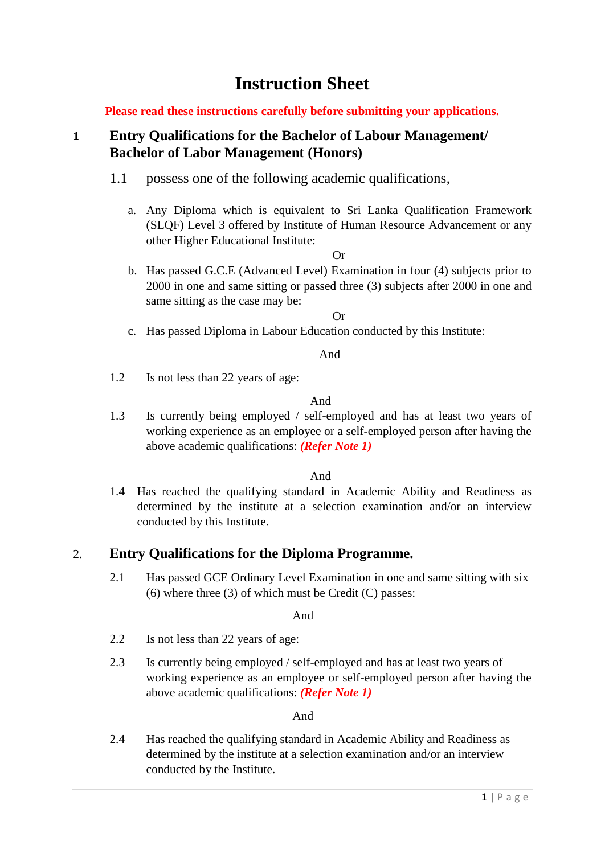# **Instruction Sheet**

**Please read these instructions carefully before submitting your applications.** 

# **1 Entry Qualifications for the Bachelor of Labour Management/ Bachelor of Labor Management (Honors)**

- 1.1 possess one of the following academic qualifications,
	- a. Any Diploma which is equivalent to Sri Lanka Qualification Framework (SLQF) Level 3 offered by Institute of Human Resource Advancement or any other Higher Educational Institute:

#### Or

b. Has passed G.C.E (Advanced Level) Examination in four (4) subjects prior to 2000 in one and same sitting or passed three (3) subjects after 2000 in one and same sitting as the case may be:

#### Or

c. Has passed Diploma in Labour Education conducted by this Institute:

#### And

1.2 Is not less than 22 years of age:

#### And

1.3 Is currently being employed / self-employed and has at least two years of working experience as an employee or a self-employed person after having the above academic qualifications: *(Refer Note 1)*

#### And

1.4 Has reached the qualifying standard in Academic Ability and Readiness as determined by the institute at a selection examination and/or an interview conducted by this Institute.

#### 2. **Entry Qualifications for the Diploma Programme.**

2.1 Has passed GCE Ordinary Level Examination in one and same sitting with six (6) where three (3) of which must be Credit (C) passes:

#### And

- 2.2 Is not less than 22 years of age:
- 2.3 Is currently being employed / self-employed and has at least two years of working experience as an employee or self-employed person after having the above academic qualifications: *(Refer Note 1)*

#### And

2.4 Has reached the qualifying standard in Academic Ability and Readiness as determined by the institute at a selection examination and/or an interview conducted by the Institute.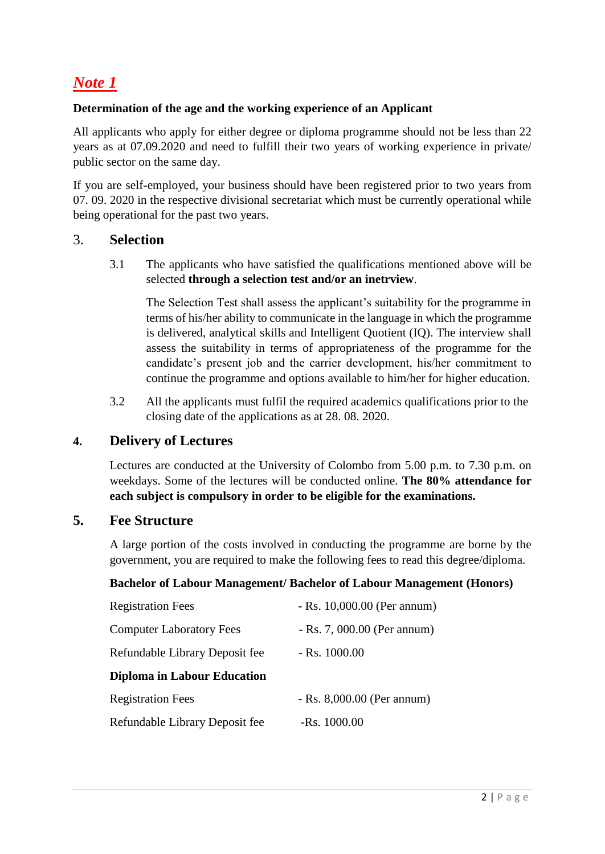# *Note 1*

#### **Determination of the age and the working experience of an Applicant**

All applicants who apply for either degree or diploma programme should not be less than 22 years as at 07.09.2020 and need to fulfill their two years of working experience in private/ public sector on the same day.

If you are self-employed, your business should have been registered prior to two years from 07. 09. 2020 in the respective divisional secretariat which must be currently operational while being operational for the past two years.

### 3. **Selection**

3.1 The applicants who have satisfied the qualifications mentioned above will be selected **through a selection test and/or an inetrview**.

The Selection Test shall assess the applicant's suitability for the programme in terms of his/her ability to communicate in the language in which the programme is delivered, analytical skills and Intelligent Quotient (IQ). The interview shall assess the suitability in terms of appropriateness of the programme for the candidate's present job and the carrier development, his/her commitment to continue the programme and options available to him/her for higher education.

3.2 All the applicants must fulfil the required academics qualifications prior to the closing date of the applications as at 28. 08. 2020.

## **4. Delivery of Lectures**

Lectures are conducted at the University of Colombo from 5.00 p.m. to 7.30 p.m. on weekdays. Some of the lectures will be conducted online. **The 80% attendance for each subject is compulsory in order to be eligible for the examinations.** 

## **5. Fee Structure**

A large portion of the costs involved in conducting the programme are borne by the government, you are required to make the following fees to read this degree/diploma.

#### **Bachelor of Labour Management/ Bachelor of Labour Management (Honors)**

| <b>Registration Fees</b>           | $-Rs. 10,000.00$ (Per annum) |
|------------------------------------|------------------------------|
| <b>Computer Laboratory Fees</b>    | $-Rs. 7,000.00$ (Per annum)  |
| Refundable Library Deposit fee     | $-Rs. 1000.00$               |
| <b>Diploma in Labour Education</b> |                              |
| <b>Registration Fees</b>           | $-Rs. 8,000.00$ (Per annum)  |
| Refundable Library Deposit fee     | $-Rs. 1000.00$               |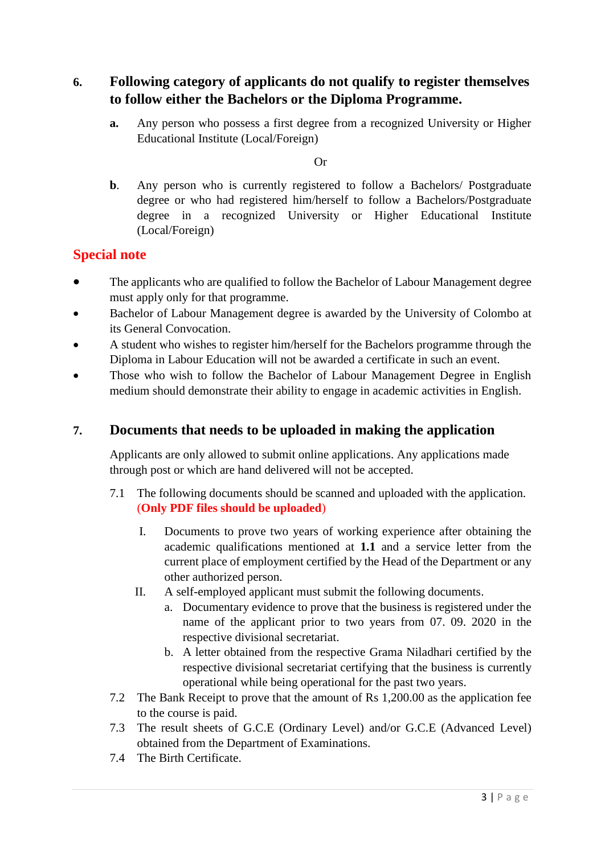**6. Following category of applicants do not qualify to register themselves to follow either the Bachelors or the Diploma Programme.**

**a.** Any person who possess a first degree from a recognized University or Higher Educational Institute (Local/Foreign)

Or

**b**. Any person who is currently registered to follow a Bachelors/ Postgraduate degree or who had registered him/herself to follow a Bachelors/Postgraduate degree in a recognized University or Higher Educational Institute (Local/Foreign)

# **Special note**

- The applicants who are qualified to follow the Bachelor of Labour Management degree must apply only for that programme.
- Bachelor of Labour Management degree is awarded by the University of Colombo at its General Convocation.
- A student who wishes to register him/herself for the Bachelors programme through the Diploma in Labour Education will not be awarded a certificate in such an event.
- Those who wish to follow the Bachelor of Labour Management Degree in English medium should demonstrate their ability to engage in academic activities in English.

## **7. Documents that needs to be uploaded in making the application**

Applicants are only allowed to submit online applications. Any applications made through post or which are hand delivered will not be accepted.

- 7.1 The following documents should be scanned and uploaded with the application. (**Only PDF files should be uploaded**)
	- I. Documents to prove two years of working experience after obtaining the academic qualifications mentioned at **1.1** and a service letter from the current place of employment certified by the Head of the Department or any other authorized person.
	- II. A self-employed applicant must submit the following documents.
		- a. Documentary evidence to prove that the business is registered under the name of the applicant prior to two years from 07. 09. 2020 in the respective divisional secretariat.
		- b. A letter obtained from the respective Grama Niladhari certified by the respective divisional secretariat certifying that the business is currently operational while being operational for the past two years.
- 7.2 The Bank Receipt to prove that the amount of Rs 1,200.00 as the application fee to the course is paid.
- 7.3 The result sheets of G.C.E (Ordinary Level) and/or G.C.E (Advanced Level) obtained from the Department of Examinations.
- 7.4 The Birth Certificate.